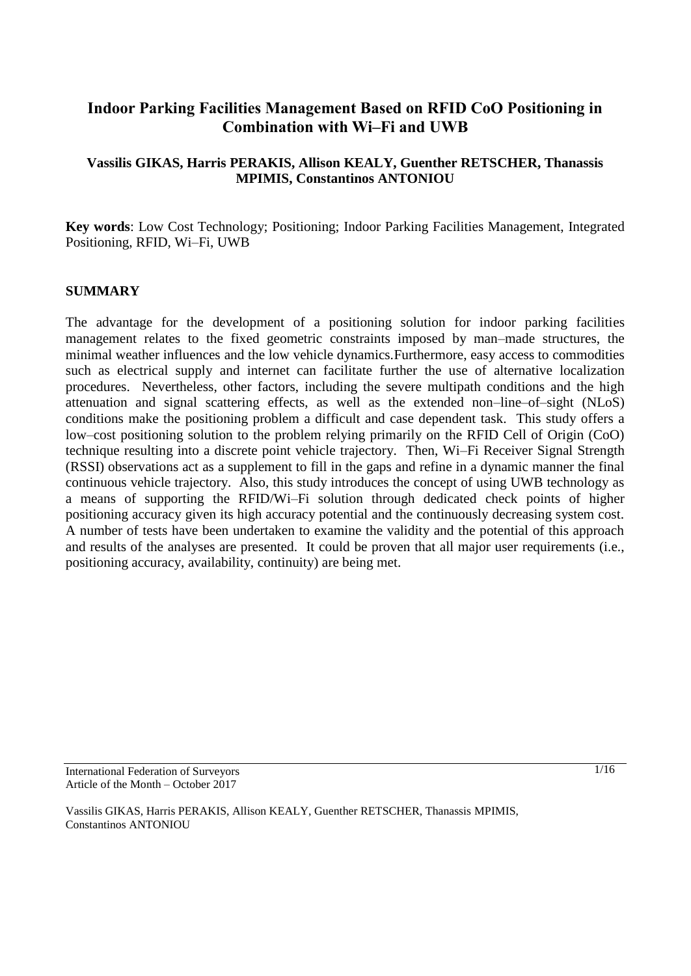# **Indoor Parking Facilities Management Based on RFID CoO Positioning in Combination with Wi–Fi and UWB**

# **Vassilis GIKAS, Harris PERAKIS, Allison KEALY, Guenther RETSCHER, Thanassis MPIMIS, Constantinos ANTONIOU**

**Key words**: Low Cost Technology; Positioning; Indoor Parking Facilities Management, Integrated Positioning, RFID, Wi–Fi, UWB

#### **SUMMARY**

The advantage for the development of a positioning solution for indoor parking facilities management relates to the fixed geometric constraints imposed by man–made structures, the minimal weather influences and the low vehicle dynamics.Furthermore, easy access to commodities such as electrical supply and internet can facilitate further the use of alternative localization procedures. Nevertheless, other factors, including the severe multipath conditions and the high attenuation and signal scattering effects, as well as the extended non–line–of–sight (NLoS) conditions make the positioning problem a difficult and case dependent task. This study offers a low–cost positioning solution to the problem relying primarily on the RFID Cell of Origin (CoO) technique resulting into a discrete point vehicle trajectory. Then, Wi–Fi Receiver Signal Strength (RSSI) observations act as a supplement to fill in the gaps and refine in a dynamic manner the final continuous vehicle trajectory. Also, this study introduces the concept of using UWB technology as a means of supporting the RFID/Wi–Fi solution through dedicated check points of higher positioning accuracy given its high accuracy potential and the continuously decreasing system cost. A number of tests have been undertaken to examine the validity and the potential of this approach and results of the analyses are presented. It could be proven that all major user requirements (i.e., positioning accuracy, availability, continuity) are being met.

International Federation of Surveyors Article of the Month – October 2017

Vassilis GIKAS, Harris PERAKIS, Allison KEALY, Guenther RETSCHER, Thanassis MPIMIS, Constantinos ANTONIOU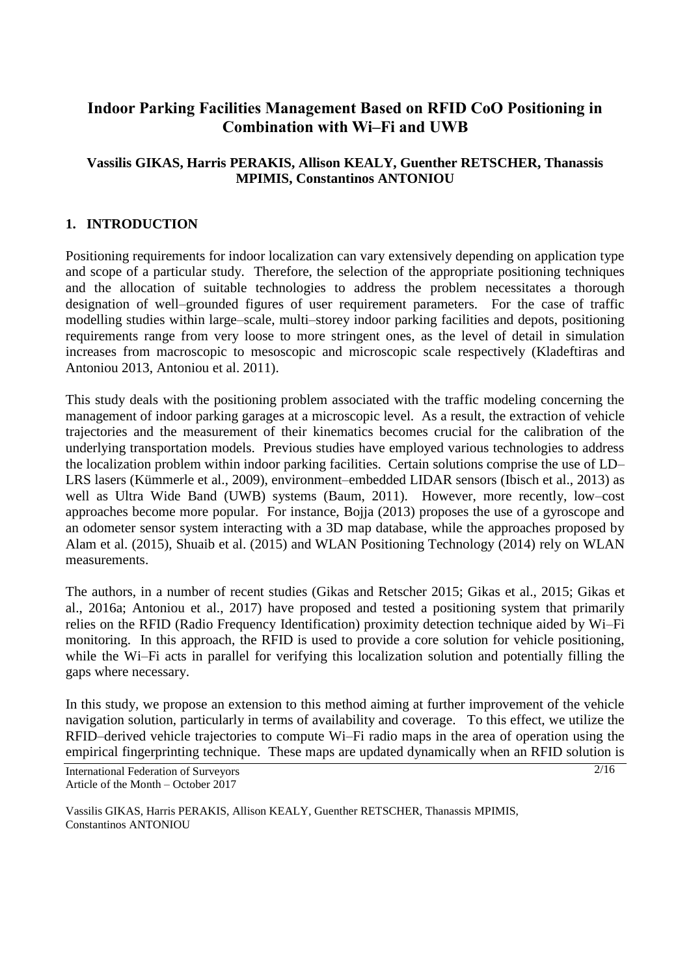# **Indoor Parking Facilities Management Based on RFID CoO Positioning in Combination with Wi–Fi and UWB**

# **Vassilis GIKAS, Harris PERAKIS, Allison KEALY, Guenther RETSCHER, Thanassis MPIMIS, Constantinos ANTONIOU**

## **1. INTRODUCTION**

Positioning requirements for indoor localization can vary extensively depending on application type and scope of a particular study. Therefore, the selection of the appropriate positioning techniques and the allocation of suitable technologies to address the problem necessitates a thorough designation of well–grounded figures of user requirement parameters. For the case of traffic modelling studies within large–scale, multi–storey indoor parking facilities and depots, positioning requirements range from very loose to more stringent ones, as the level of detail in simulation increases from macroscopic to mesoscopic and microscopic scale respectively (Kladeftiras and Antoniou 2013, Antoniou et al. 2011).

This study deals with the positioning problem associated with the traffic modeling concerning the management of indoor parking garages at a microscopic level. As a result, the extraction of vehicle trajectories and the measurement of their kinematics becomes crucial for the calibration of the underlying transportation models. Previous studies have employed various technologies to address the localization problem within indoor parking facilities. Certain solutions comprise the use of LD– LRS lasers (Kümmerle et al., 2009), environment–embedded LIDAR sensors (Ibisch et al., 2013) as well as Ultra Wide Band (UWB) systems (Baum, 2011). However, more recently, low–cost approaches become more popular. For instance, Bojja (2013) proposes the use of a gyroscope and an odometer sensor system interacting with a 3D map database, while the approaches proposed by Alam et al. (2015), Shuaib et al. (2015) and WLAN Positioning Technology (2014) rely on WLAN measurements.

The authors, in a number of recent studies (Gikas and Retscher 2015; Gikas et al., 2015; Gikas et al., 2016a; Antoniou et al., 2017) have proposed and tested a positioning system that primarily relies on the RFID (Radio Frequency Identification) proximity detection technique aided by Wi–Fi monitoring. In this approach, the RFID is used to provide a core solution for vehicle positioning, while the Wi–Fi acts in parallel for verifying this localization solution and potentially filling the gaps where necessary.

In this study, we propose an extension to this method aiming at further improvement of the vehicle navigation solution, particularly in terms of availability and coverage. To this effect, we utilize the RFID–derived vehicle trajectories to compute Wi–Fi radio maps in the area of operation using the empirical fingerprinting technique. These maps are updated dynamically when an RFID solution is

International Federation of Surveyors Article of the Month – October 2017

Vassilis GIKAS, Harris PERAKIS, Allison KEALY, Guenther RETSCHER, Thanassis MPIMIS, Constantinos ANTONIOU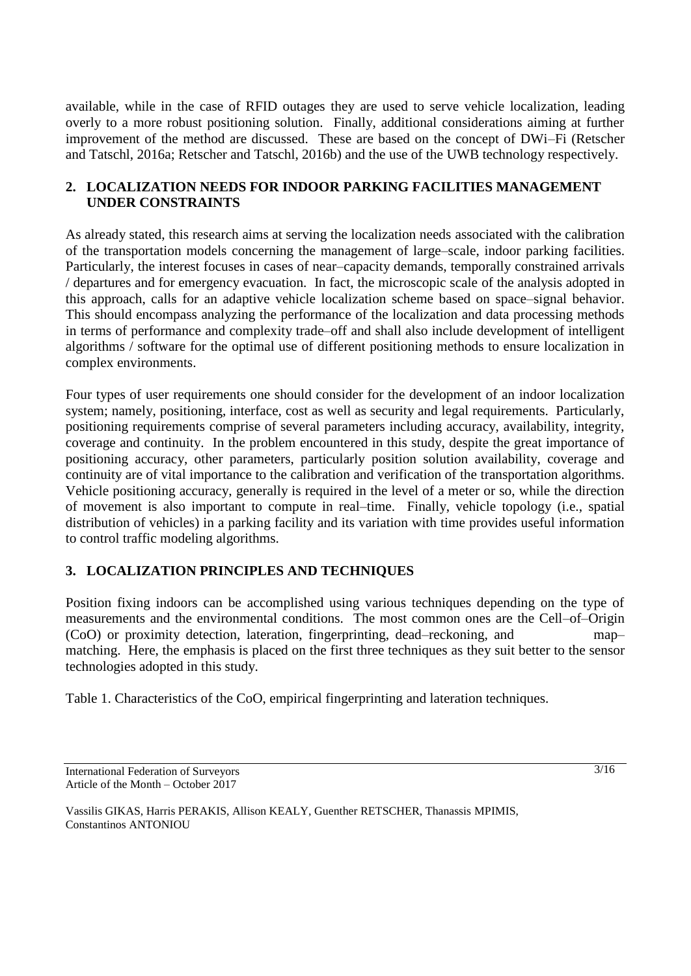available, while in the case of RFID outages they are used to serve vehicle localization, leading overly to a more robust positioning solution. Finally, additional considerations aiming at further improvement of the method are discussed. These are based on the concept of DWi–Fi (Retscher and Tatschl, 2016a; Retscher and Tatschl, 2016b) and the use of the UWB technology respectively.

### **2. LOCALIZATION NEEDS FOR INDOOR PARKING FACILITIES MANAGEMENT UNDER CONSTRAINTS**

As already stated, this research aims at serving the localization needs associated with the calibration of the transportation models concerning the management of large–scale, indoor parking facilities. Particularly, the interest focuses in cases of near–capacity demands, temporally constrained arrivals / departures and for emergency evacuation. In fact, the microscopic scale of the analysis adopted in this approach, calls for an adaptive vehicle localization scheme based on space–signal behavior. This should encompass analyzing the performance of the localization and data processing methods in terms of performance and complexity trade–off and shall also include development of intelligent algorithms / software for the optimal use of different positioning methods to ensure localization in complex environments.

Four types of user requirements one should consider for the development of an indoor localization system; namely, positioning, interface, cost as well as security and legal requirements. Particularly, positioning requirements comprise of several parameters including accuracy, availability, integrity, coverage and continuity. In the problem encountered in this study, despite the great importance of positioning accuracy, other parameters, particularly position solution availability, coverage and continuity are of vital importance to the calibration and verification of the transportation algorithms. Vehicle positioning accuracy, generally is required in the level of a meter or so, while the direction of movement is also important to compute in real–time. Finally, vehicle topology (i.e., spatial distribution of vehicles) in a parking facility and its variation with time provides useful information to control traffic modeling algorithms.

# **3. LOCALIZATION PRINCIPLES AND TECHNIQUES**

Position fixing indoors can be accomplished using various techniques depending on the type of measurements and the environmental conditions. The most common ones are the Cell–of–Origin (CoO) or proximity detection, lateration, fingerprinting, dead–reckoning, and map– matching. Here, the emphasis is placed on the first three techniques as they suit better to the sensor technologies adopted in this study.

Table 1. Characteristics of the CoO, empirical fingerprinting and lateration techniques.

International Federation of Surveyors Article of the Month – October 2017

3/16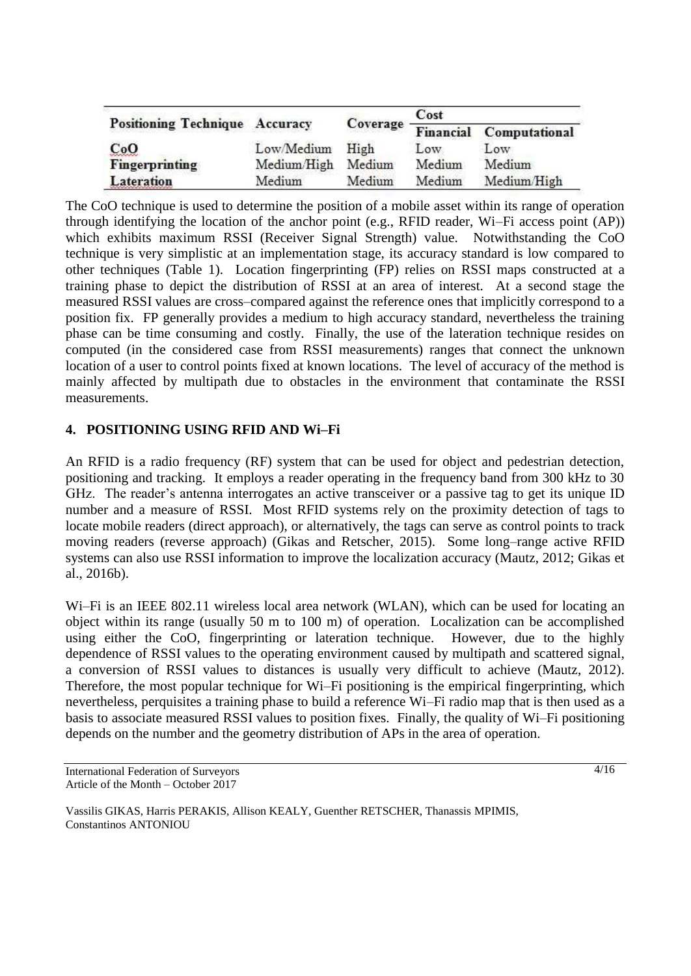| <b>Positioning Technique Accuracy</b> |             | Coverage | Cost   |                                |
|---------------------------------------|-------------|----------|--------|--------------------------------|
|                                       |             |          |        | <b>Financial Computational</b> |
| CoO                                   | Low/Medium  | High     | Low    | Low                            |
| Fingerprinting                        | Medium/High | Medium   | Medium | Medium                         |
| <b>Lateration</b>                     | Medium      | Medium   | Medium | Medium/High                    |

The CoO technique is used to determine the position of a mobile asset within its range of operation through identifying the location of the anchor point (e.g., RFID reader, Wi–Fi access point (AP)) which exhibits maximum RSSI (Receiver Signal Strength) value. Notwithstanding the CoO technique is very simplistic at an implementation stage, its accuracy standard is low compared to other techniques (Table 1). Location fingerprinting (FP) relies on RSSI maps constructed at a training phase to depict the distribution of RSSI at an area of interest. At a second stage the measured RSSI values are cross–compared against the reference ones that implicitly correspond to a position fix. FP generally provides a medium to high accuracy standard, nevertheless the training phase can be time consuming and costly. Finally, the use of the lateration technique resides on computed (in the considered case from RSSI measurements) ranges that connect the unknown location of a user to control points fixed at known locations. The level of accuracy of the method is mainly affected by multipath due to obstacles in the environment that contaminate the RSSI measurements.

# **4. POSITIONING USING RFID AND Wi–Fi**

An RFID is a radio frequency (RF) system that can be used for object and pedestrian detection, positioning and tracking. It employs a reader operating in the frequency band from 300 kHz to 30 GHz. The reader's antenna interrogates an active transceiver or a passive tag to get its unique ID number and a measure of RSSI. Most RFID systems rely on the proximity detection of tags to locate mobile readers (direct approach), or alternatively, the tags can serve as control points to track moving readers (reverse approach) (Gikas and Retscher, 2015). Some long–range active RFID systems can also use RSSI information to improve the localization accuracy (Mautz, 2012; Gikas et al., 2016b).

Wi–Fi is an IEEE 802.11 wireless local area network (WLAN), which can be used for locating an object within its range (usually 50 m to 100 m) of operation. Localization can be accomplished using either the CoO, fingerprinting or lateration technique. However, due to the highly dependence of RSSI values to the operating environment caused by multipath and scattered signal, a conversion of RSSI values to distances is usually very difficult to achieve (Mautz, 2012). Therefore, the most popular technique for Wi–Fi positioning is the empirical fingerprinting, which nevertheless, perquisites a training phase to build a reference Wi–Fi radio map that is then used as a basis to associate measured RSSI values to position fixes. Finally, the quality of Wi–Fi positioning depends on the number and the geometry distribution of APs in the area of operation.

4/16

International Federation of Surveyors Article of the Month – October 2017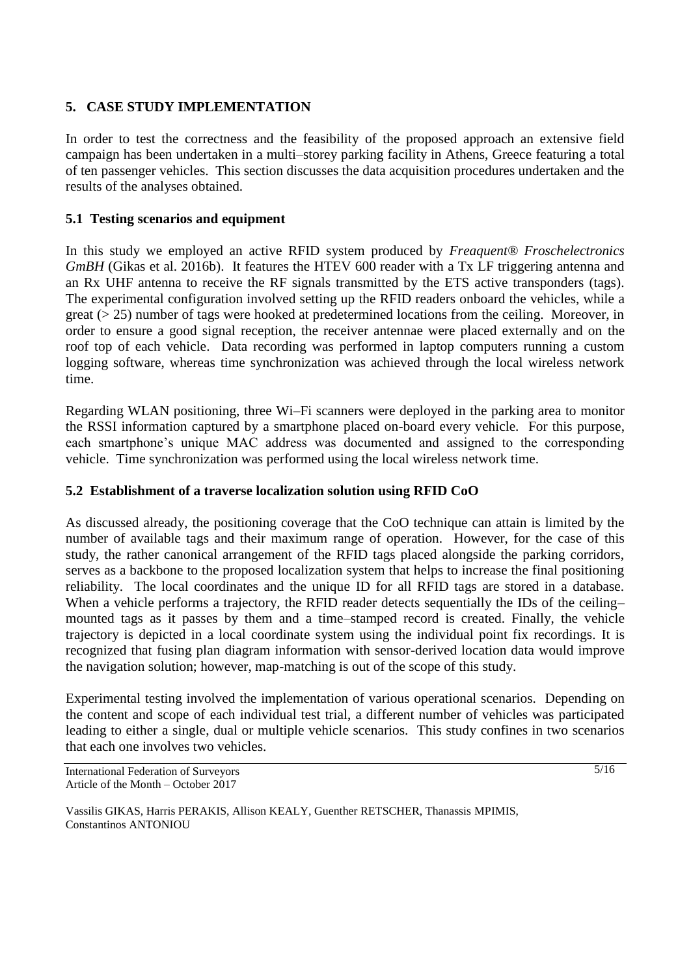### **5. CASE STUDY IMPLEMENTATION**

In order to test the correctness and the feasibility of the proposed approach an extensive field campaign has been undertaken in a multi–storey parking facility in Athens, Greece featuring a total of ten passenger vehicles. This section discusses the data acquisition procedures undertaken and the results of the analyses obtained.

### **5.1 Testing scenarios and equipment**

In this study we employed an active RFID system produced by *Freaquent® Froschelectronics GmBH* (Gikas et al. 2016b). It features the HTEV 600 reader with a Tx LF triggering antenna and an Rx UHF antenna to receive the RF signals transmitted by the ETS active transponders (tags). The experimental configuration involved setting up the RFID readers onboard the vehicles, while a great (> 25) number of tags were hooked at predetermined locations from the ceiling. Moreover, in order to ensure a good signal reception, the receiver antennae were placed externally and on the roof top of each vehicle. Data recording was performed in laptop computers running a custom logging software, whereas time synchronization was achieved through the local wireless network time.

Regarding WLAN positioning, three Wi–Fi scanners were deployed in the parking area to monitor the RSSI information captured by a smartphone placed on-board every vehicle. For this purpose, each smartphone's unique MAC address was documented and assigned to the corresponding vehicle. Time synchronization was performed using the local wireless network time.

#### **5.2 Establishment of a traverse localization solution using RFID CoO**

As discussed already, the positioning coverage that the CoO technique can attain is limited by the number of available tags and their maximum range of operation. However, for the case of this study, the rather canonical arrangement of the RFID tags placed alongside the parking corridors, serves as a backbone to the proposed localization system that helps to increase the final positioning reliability. The local coordinates and the unique ID for all RFID tags are stored in a database. When a vehicle performs a trajectory, the RFID reader detects sequentially the IDs of the ceiling– mounted tags as it passes by them and a time–stamped record is created. Finally, the vehicle trajectory is depicted in a local coordinate system using the individual point fix recordings. It is recognized that fusing plan diagram information with sensor-derived location data would improve the navigation solution; however, map-matching is out of the scope of this study.

Experimental testing involved the implementation of various operational scenarios. Depending on the content and scope of each individual test trial, a different number of vehicles was participated leading to either a single, dual or multiple vehicle scenarios. This study confines in two scenarios that each one involves two vehicles.

International Federation of Surveyors Article of the Month – October 2017

5/16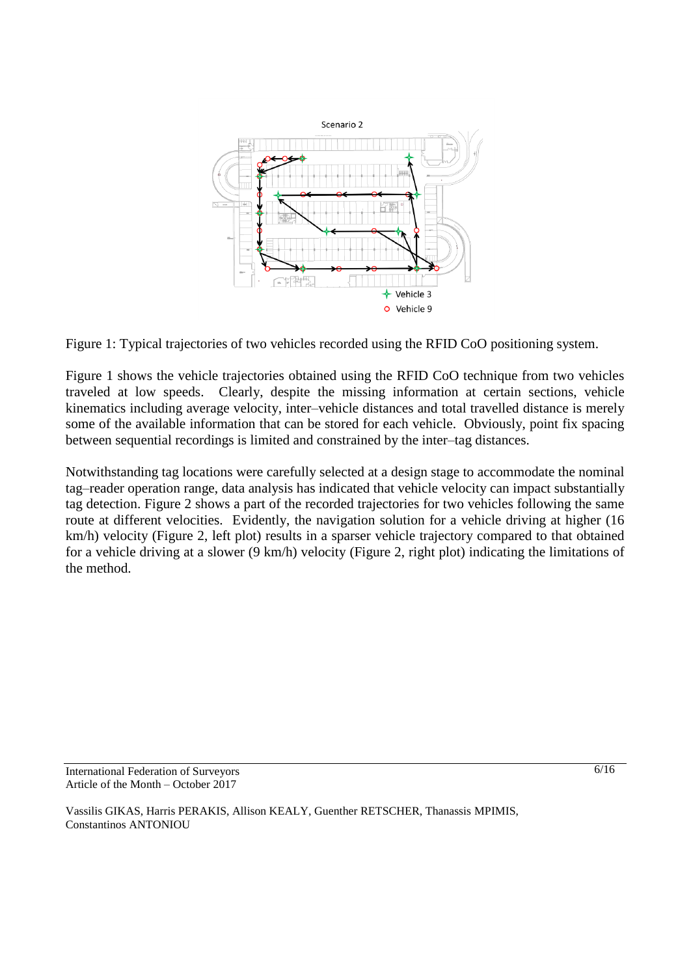

Figure 1: Typical trajectories of two vehicles recorded using the RFID CoO positioning system.

Figure 1 shows the vehicle trajectories obtained using the RFID CoO technique from two vehicles traveled at low speeds. Clearly, despite the missing information at certain sections, vehicle kinematics including average velocity, inter–vehicle distances and total travelled distance is merely some of the available information that can be stored for each vehicle. Obviously, point fix spacing between sequential recordings is limited and constrained by the inter–tag distances.

Notwithstanding tag locations were carefully selected at a design stage to accommodate the nominal tag–reader operation range, data analysis has indicated that vehicle velocity can impact substantially tag detection. Figure 2 shows a part of the recorded trajectories for two vehicles following the same route at different velocities. Evidently, the navigation solution for a vehicle driving at higher (16) km/h) velocity (Figure 2, left plot) results in a sparser vehicle trajectory compared to that obtained for a vehicle driving at a slower (9 km/h) velocity (Figure 2, right plot) indicating the limitations of the method.

International Federation of Surveyors Article of the Month – October 2017

Vassilis GIKAS, Harris PERAKIS, Allison KEALY, Guenther RETSCHER, Thanassis MPIMIS, Constantinos ANTONIOU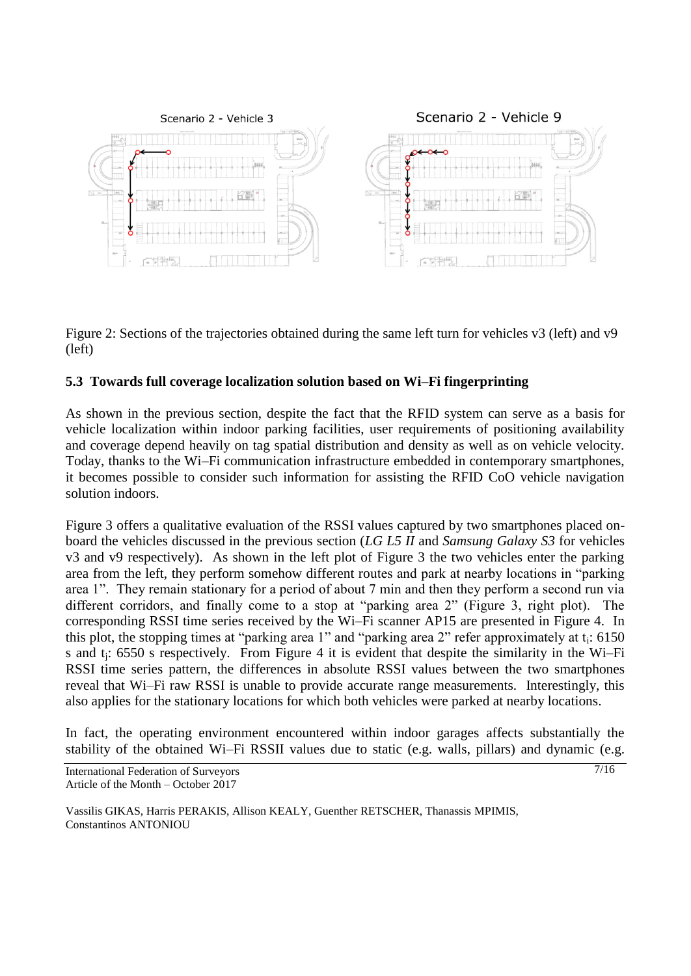

Figure 2: Sections of the trajectories obtained during the same left turn for vehicles v3 (left) and v9 (left)

# **5.3 Towards full coverage localization solution based on Wi–Fi fingerprinting**

As shown in the previous section, despite the fact that the RFID system can serve as a basis for vehicle localization within indoor parking facilities, user requirements of positioning availability and coverage depend heavily on tag spatial distribution and density as well as on vehicle velocity. Today, thanks to the Wi–Fi communication infrastructure embedded in contemporary smartphones, it becomes possible to consider such information for assisting the RFID CoO vehicle navigation solution indoors.

Figure 3 offers a qualitative evaluation of the RSSI values captured by two smartphones placed onboard the vehicles discussed in the previous section (*LG L5 II* and *Samsung Galaxy S3* for vehicles v3 and v9 respectively). As shown in the left plot of Figure 3 the two vehicles enter the parking area from the left, they perform somehow different routes and park at nearby locations in "parking area 1". They remain stationary for a period of about 7 min and then they perform a second run via different corridors, and finally come to a stop at "parking area 2" (Figure 3, right plot). The corresponding RSSI time series received by the Wi–Fi scanner AP15 are presented in Figure 4. In this plot, the stopping times at "parking area 1" and "parking area 2" refer approximately at  $t_i$ : 6150 s and tj: 6550 s respectively. From Figure 4 it is evident that despite the similarity in the Wi–Fi RSSI time series pattern, the differences in absolute RSSI values between the two smartphones reveal that Wi–Fi raw RSSI is unable to provide accurate range measurements. Interestingly, this also applies for the stationary locations for which both vehicles were parked at nearby locations.

In fact, the operating environment encountered within indoor garages affects substantially the stability of the obtained Wi–Fi RSSII values due to static (e.g. walls, pillars) and dynamic (e.g.

International Federation of Surveyors Article of the Month – October 2017

Vassilis GIKAS, Harris PERAKIS, Allison KEALY, Guenther RETSCHER, Thanassis MPIMIS, Constantinos ANTONIOU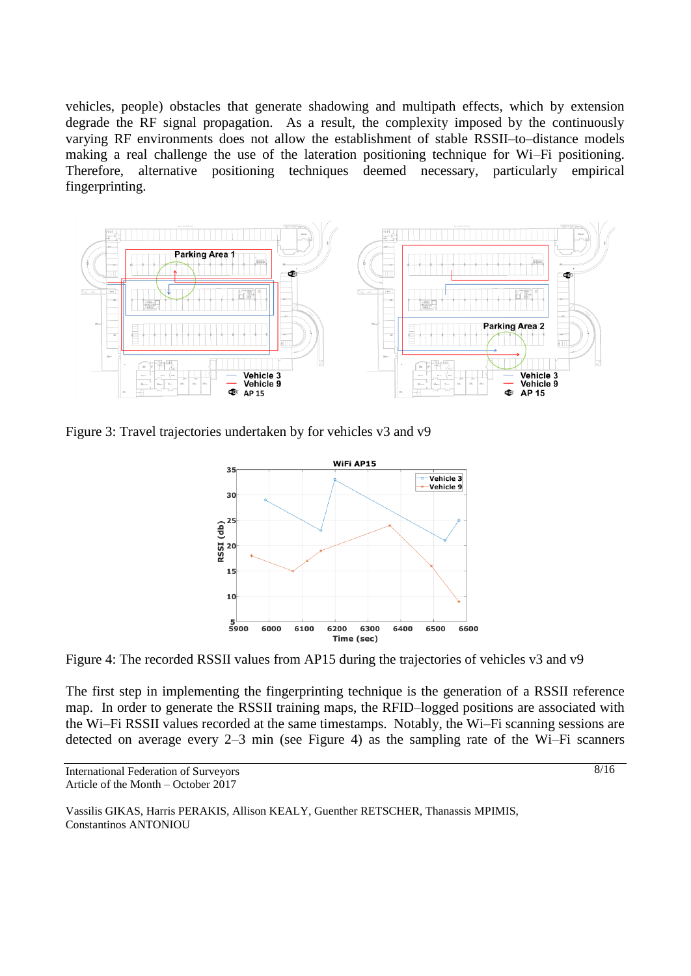vehicles, people) obstacles that generate shadowing and multipath effects, which by extension degrade the RF signal propagation. As a result, the complexity imposed by the continuously varying RF environments does not allow the establishment of stable RSSII–to–distance models making a real challenge the use of the lateration positioning technique for Wi–Fi positioning. Therefore, alternative positioning techniques deemed necessary, particularly empirical fingerprinting.



Figure 3: Travel trajectories undertaken by for vehicles v3 and v9



Figure 4: The recorded RSSII values from AP15 during the trajectories of vehicles v3 and v9

The first step in implementing the fingerprinting technique is the generation of a RSSII reference map. In order to generate the RSSII training maps, the RFID–logged positions are associated with the Wi–Fi RSSII values recorded at the same timestamps. Notably, the Wi–Fi scanning sessions are detected on average every 2–3 min (see Figure 4) as the sampling rate of the Wi–Fi scanners

International Federation of Surveyors Article of the Month – October 2017

Vassilis GIKAS, Harris PERAKIS, Allison KEALY, Guenther RETSCHER, Thanassis MPIMIS, Constantinos ANTONIOU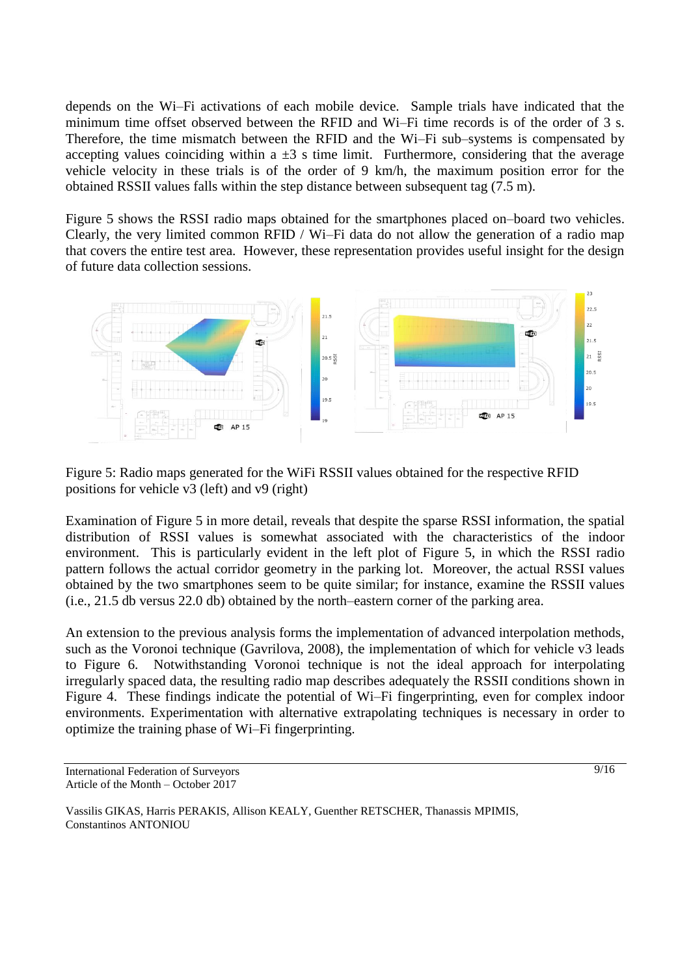depends on the Wi–Fi activations of each mobile device. Sample trials have indicated that the minimum time offset observed between the RFID and Wi–Fi time records is of the order of 3 s. Therefore, the time mismatch between the RFID and the Wi–Fi sub–systems is compensated by accepting values coinciding within a  $\pm 3$  s time limit. Furthermore, considering that the average vehicle velocity in these trials is of the order of 9 km/h, the maximum position error for the obtained RSSII values falls within the step distance between subsequent tag (7.5 m).

Figure 5 shows the RSSI radio maps obtained for the smartphones placed on–board two vehicles. Clearly, the very limited common RFID / Wi–Fi data do not allow the generation of a radio map that covers the entire test area. However, these representation provides useful insight for the design of future data collection sessions.



Figure 5: Radio maps generated for the WiFi RSSII values obtained for the respective RFID positions for vehicle v3 (left) and v9 (right)

Examination of Figure 5 in more detail, reveals that despite the sparse RSSI information, the spatial distribution of RSSI values is somewhat associated with the characteristics of the indoor environment. This is particularly evident in the left plot of Figure 5, in which the RSSI radio pattern follows the actual corridor geometry in the parking lot. Moreover, the actual RSSI values obtained by the two smartphones seem to be quite similar; for instance, examine the RSSII values (i.e., 21.5 db versus 22.0 db) obtained by the north–eastern corner of the parking area.

An extension to the previous analysis forms the implementation of advanced interpolation methods, such as the Voronoi technique (Gavrilova, 2008), the implementation of which for vehicle v3 leads to Figure 6. Notwithstanding Voronoi technique is not the ideal approach for interpolating irregularly spaced data, the resulting radio map describes adequately the RSSII conditions shown in Figure 4. These findings indicate the potential of Wi–Fi fingerprinting, even for complex indoor environments. Experimentation with alternative extrapolating techniques is necessary in order to optimize the training phase of Wi–Fi fingerprinting.

International Federation of Surveyors Article of the Month – October 2017

Vassilis GIKAS, Harris PERAKIS, Allison KEALY, Guenther RETSCHER, Thanassis MPIMIS, Constantinos ANTONIOU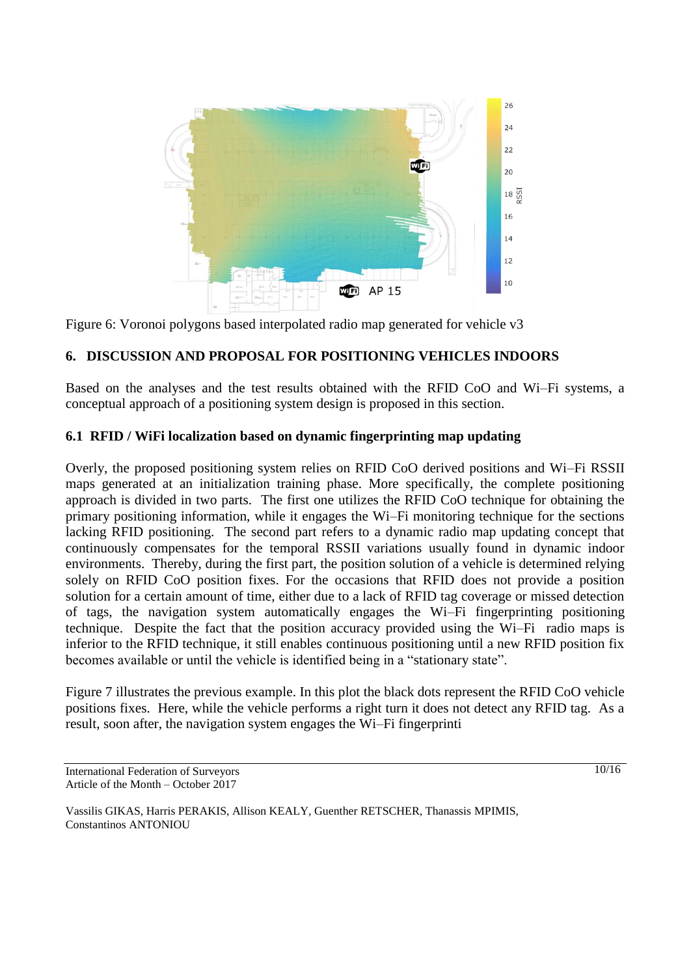

Figure 6: Voronoi polygons based interpolated radio map generated for vehicle v3

#### **6. DISCUSSION AND PROPOSAL FOR POSITIONING VEHICLES INDOORS**

Based on the analyses and the test results obtained with the RFID CoO and Wi–Fi systems, a conceptual approach of a positioning system design is proposed in this section.

#### **6.1 RFID / WiFi localization based on dynamic fingerprinting map updating**

Overly, the proposed positioning system relies on RFID CoO derived positions and Wi–Fi RSSII maps generated at an initialization training phase. More specifically, the complete positioning approach is divided in two parts. The first one utilizes the RFID CoO technique for obtaining the primary positioning information, while it engages the Wi–Fi monitoring technique for the sections lacking RFID positioning. The second part refers to a dynamic radio map updating concept that continuously compensates for the temporal RSSII variations usually found in dynamic indoor environments. Thereby, during the first part, the position solution of a vehicle is determined relying solely on RFID CoO position fixes. For the occasions that RFID does not provide a position solution for a certain amount of time, either due to a lack of RFID tag coverage or missed detection of tags, the navigation system automatically engages the Wi–Fi fingerprinting positioning technique. Despite the fact that the position accuracy provided using the Wi–Fi radio maps is inferior to the RFID technique, it still enables continuous positioning until a new RFID position fix becomes available or until the vehicle is identified being in a "stationary state".

Figure 7 illustrates the previous example. In this plot the black dots represent the RFID CoO vehicle positions fixes. Here, while the vehicle performs a right turn it does not detect any RFID tag. As a result, soon after, the navigation system engages the Wi–Fi fingerprinti

International Federation of Surveyors Article of the Month – October 2017

Vassilis GIKAS, Harris PERAKIS, Allison KEALY, Guenther RETSCHER, Thanassis MPIMIS, Constantinos ANTONIOU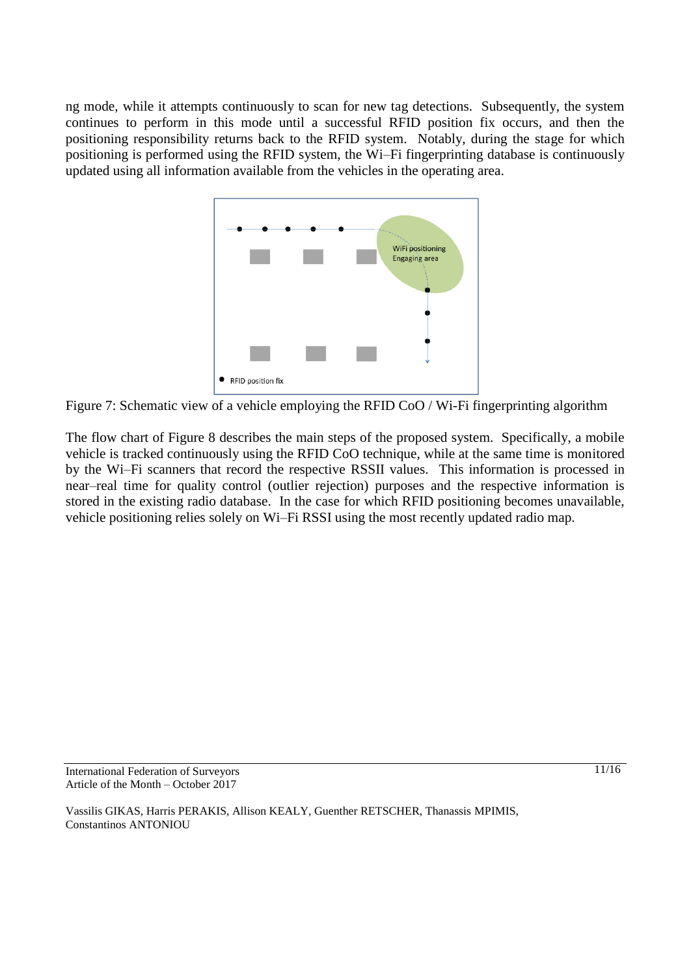ng mode, while it attempts continuously to scan for new tag detections. Subsequently, the system continues to perform in this mode until a successful RFID position fix occurs, and then the positioning responsibility returns back to the RFID system. Notably, during the stage for which positioning is performed using the RFID system, the Wi–Fi fingerprinting database is continuously updated using all information available from the vehicles in the operating area.



Figure 7: Schematic view of a vehicle employing the RFID CoO / Wi-Fi fingerprinting algorithm

The flow chart of Figure 8 describes the main steps of the proposed system. Specifically, a mobile vehicle is tracked continuously using the RFID CoO technique, while at the same time is monitored by the Wi–Fi scanners that record the respective RSSII values. This information is processed in near–real time for quality control (outlier rejection) purposes and the respective information is stored in the existing radio database. In the case for which RFID positioning becomes unavailable, vehicle positioning relies solely on Wi–Fi RSSI using the most recently updated radio map.

International Federation of Surveyors Article of the Month – October 2017

Vassilis GIKAS, Harris PERAKIS, Allison KEALY, Guenther RETSCHER, Thanassis MPIMIS, Constantinos ANTONIOU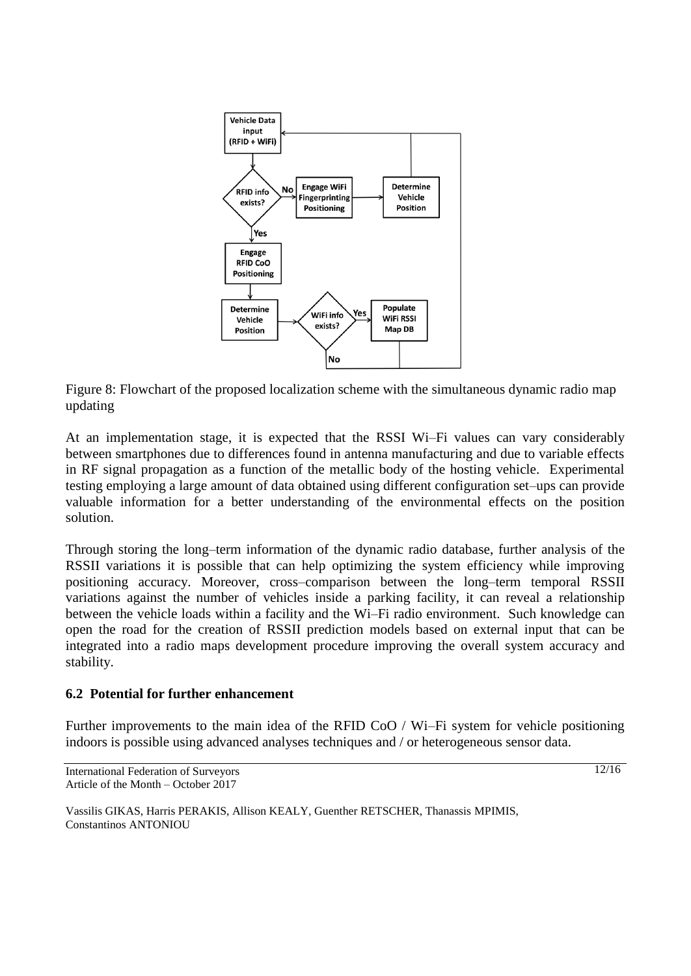

Figure 8: Flowchart of the proposed localization scheme with the simultaneous dynamic radio map updating

At an implementation stage, it is expected that the RSSI Wi–Fi values can vary considerably between smartphones due to differences found in antenna manufacturing and due to variable effects in RF signal propagation as a function of the metallic body of the hosting vehicle. Experimental testing employing a large amount of data obtained using different configuration set–ups can provide valuable information for a better understanding of the environmental effects on the position solution.

Through storing the long–term information of the dynamic radio database, further analysis of the RSSII variations it is possible that can help optimizing the system efficiency while improving positioning accuracy. Moreover, cross–comparison between the long–term temporal RSSII variations against the number of vehicles inside a parking facility, it can reveal a relationship between the vehicle loads within a facility and the Wi–Fi radio environment. Such knowledge can open the road for the creation of RSSII prediction models based on external input that can be integrated into a radio maps development procedure improving the overall system accuracy and stability.

### **6.2 Potential for further enhancement**

Further improvements to the main idea of the RFID CoO / Wi–Fi system for vehicle positioning indoors is possible using advanced analyses techniques and / or heterogeneous sensor data.

International Federation of Surveyors Article of the Month – October 2017

12/16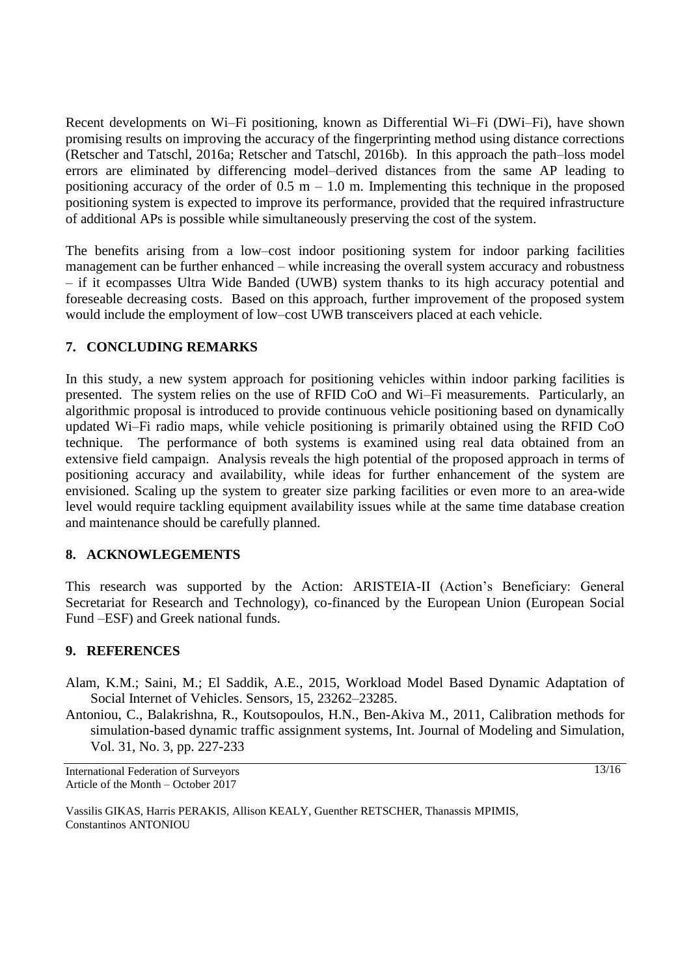Recent developments on Wi–Fi positioning, known as Differential Wi–Fi (DWi–Fi), have shown promising results on improving the accuracy of the fingerprinting method using distance corrections (Retscher and Tatschl, 2016a; Retscher and Tatschl, 2016b). In this approach the path–loss model errors are eliminated by differencing model–derived distances from the same AP leading to positioning accuracy of the order of  $0.5$  m – 1.0 m. Implementing this technique in the proposed positioning system is expected to improve its performance, provided that the required infrastructure of additional APs is possible while simultaneously preserving the cost of the system.

The benefits arising from a low–cost indoor positioning system for indoor parking facilities management can be further enhanced – while increasing the overall system accuracy and robustness – if it ecompasses Ultra Wide Banded (UWB) system thanks to its high accuracy potential and foreseable decreasing costs. Based on this approach, further improvement of the proposed system would include the employment of low–cost UWB transceivers placed at each vehicle.

# **7. CONCLUDING REMARKS**

In this study, a new system approach for positioning vehicles within indoor parking facilities is presented. The system relies on the use of RFID CoO and Wi–Fi measurements. Particularly, an algorithmic proposal is introduced to provide continuous vehicle positioning based on dynamically updated Wi–Fi radio maps, while vehicle positioning is primarily obtained using the RFID CoO technique. The performance of both systems is examined using real data obtained from an extensive field campaign. Analysis reveals the high potential of the proposed approach in terms of positioning accuracy and availability, while ideas for further enhancement of the system are envisioned. Scaling up the system to greater size parking facilities or even more to an area-wide level would require tackling equipment availability issues while at the same time database creation and maintenance should be carefully planned.

### **8. ACKNOWLEGEMENTS**

This research was supported by the Action: ARISTEIA-II (Action's Beneficiary: General Secretariat for Research and Technology), co-financed by the European Union (European Social Fund –ESF) and Greek national funds.

### **9. REFERENCES**

- Alam, K.M.; Saini, M.; El Saddik, A.E., 2015, Workload Model Based Dynamic Adaptation of Social Internet of Vehicles. Sensors, 15, 23262–23285.
- Antoniou, C., Balakrishna, R., Koutsopoulos, H.N., Ben-Akiva M., 2011, Calibration methods for simulation-based dynamic traffic assignment systems, Int. Journal of Modeling and Simulation, Vol. 31, No. 3, pp. 227-233

International Federation of Surveyors Article of the Month – October 2017

13/16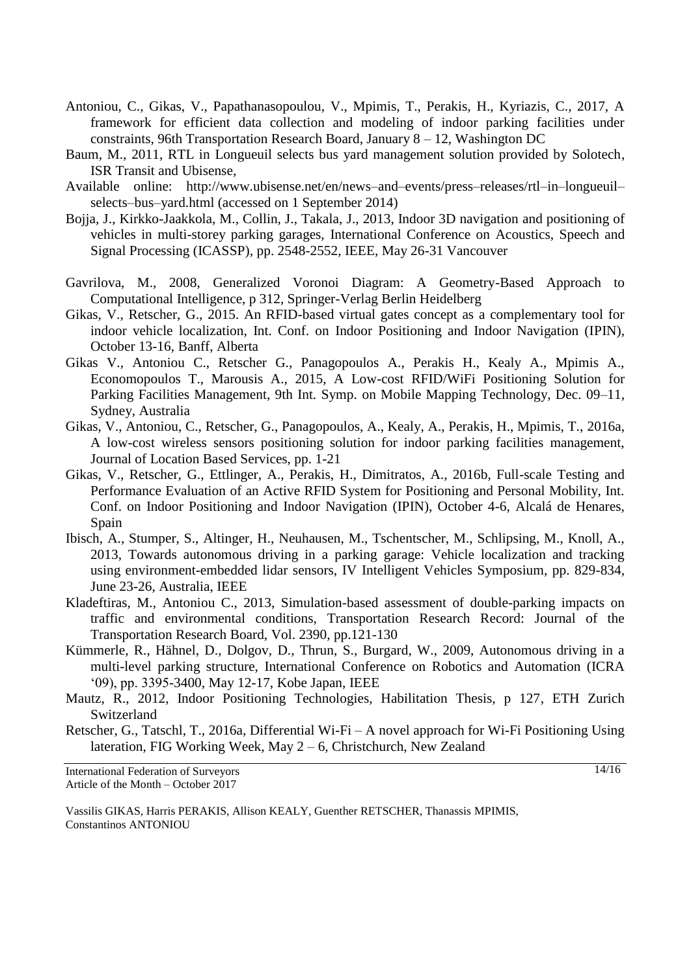- Antoniou, C., Gikas, V., Papathanasopoulou, V., Mpimis, T., Perakis, H., Kyriazis, C., 2017, A framework for efficient data collection and modeling of indoor parking facilities under constraints, 96th Transportation Research Board, January 8 – 12, Washington DC
- Baum, M., 2011, RTL in Longueuil selects bus yard management solution provided by Solotech, ISR Transit and Ubisense,
- Available online: http://www.ubisense.net/en/news–and–events/press–releases/rtl–in–longueuil– selects–bus–yard.html (accessed on 1 September 2014)
- Bojja, J., Kirkko-Jaakkola, M., Collin, J., Takala, J., 2013, Indoor 3D navigation and positioning of vehicles in multi-storey parking garages, International Conference on Acoustics, Speech and Signal Processing (ICASSP), pp. 2548-2552, IEEE, May 26-31 Vancouver
- Gavrilova, M., 2008, Generalized Voronoi Diagram: A Geometry-Based Approach to Computational Intelligence, p 312, Springer-Verlag Berlin Heidelberg
- Gikas, V., Retscher, G., 2015. An RFID-based virtual gates concept as a complementary tool for indoor vehicle localization, Int. Conf. on Indoor Positioning and Indoor Navigation (IPIN), October 13-16, Banff, Alberta
- Gikas V., Antoniou C., Retscher G., Panagopoulos A., Perakis H., Kealy A., Mpimis A., Economopoulos T., Marousis A., 2015, A Low-cost RFID/WiFi Positioning Solution for Parking Facilities Management, 9th Int. Symp. on Mobile Mapping Technology, Dec. 09–11, Sydney, Australia
- Gikas, V., Antoniou, C., Retscher, G., Panagopoulos, A., Kealy, A., Perakis, H., Mpimis, T., 2016a, A low-cost wireless sensors positioning solution for indoor parking facilities management, Journal of Location Based Services, pp. 1-21
- Gikas, V., Retscher, G., Ettlinger, A., Perakis, H., Dimitratos, A., 2016b, Full-scale Testing and Performance Evaluation of an Active RFID System for Positioning and Personal Mobility, Int. Conf. on Indoor Positioning and Indoor Navigation (IPIN), October 4-6, Alcalá de Henares, Spain
- Ibisch, A., Stumper, S., Altinger, H., Neuhausen, M., Tschentscher, M., Schlipsing, M., Knoll, A., 2013, Towards autonomous driving in a parking garage: Vehicle localization and tracking using environment-embedded lidar sensors, IV Intelligent Vehicles Symposium, pp. 829-834, June 23-26, Australia, IEEE
- Kladeftiras, M., Antoniou C., 2013, Simulation-based assessment of double-parking impacts on traffic and environmental conditions, Transportation Research Record: Journal of the Transportation Research Board, Vol. 2390, pp.121-130
- Kümmerle, R., Hähnel, D., Dolgov, D., Thrun, S., Burgard, W., 2009, Autonomous driving in a multi-level parking structure, International Conference on Robotics and Automation (ICRA '09), pp. 3395-3400, May 12-17, Kobe Japan, IEEE
- Mautz, R., 2012, Indoor Positioning Technologies, Habilitation Thesis, p 127, ETH Zurich Switzerland
- Retscher, G., Tatschl, T., 2016a, Differential Wi-Fi A novel approach for Wi-Fi Positioning Using lateration, FIG Working Week, May 2 – 6, Christchurch, New Zealand

International Federation of Surveyors Article of the Month – October 2017

 $14/16$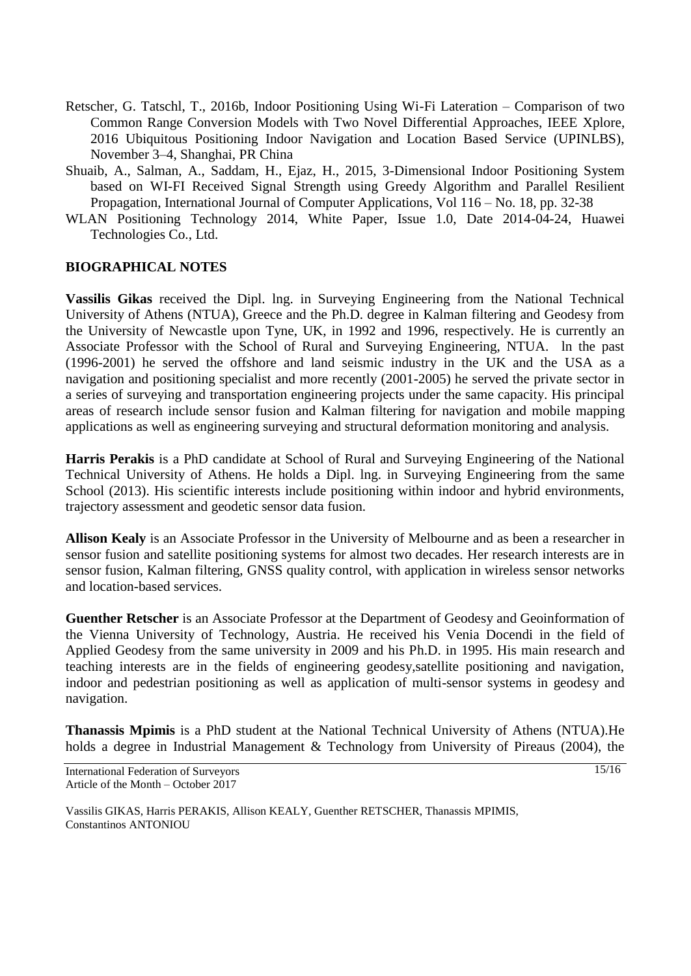- Retscher, G. Tatschl, T., 2016b, Indoor Positioning Using Wi-Fi Lateration Comparison of two Common Range Conversion Models with Two Novel Differential Approaches, IEEE Xplore, 2016 Ubiquitous Positioning Indoor Navigation and Location Based Service (UPINLBS), November 3–4, Shanghai, PR China
- Shuaib, A., Salman, A., Saddam, H., Ejaz, H., 2015, 3-Dimensional Indoor Positioning System based on WI-FI Received Signal Strength using Greedy Algorithm and Parallel Resilient Propagation, International Journal of Computer Applications, Vol 116 – No. 18, pp. 32-38
- WLAN Positioning Technology 2014, White Paper, Issue 1.0, Date 2014-04-24, Huawei Technologies Co., Ltd.

#### **BIOGRAPHICAL NOTES**

**Vassilis Gikas** received the Dipl. lng. in Surveying Engineering from the National Technical University of Athens (NTUA), Greece and the Ph.D. degree in Kalman filtering and Geodesy from the University of Newcastle upon Tyne, UK, in 1992 and 1996, respectively. He is currently an Associate Professor with the School of Rural and Surveying Engineering, NTUA. ln the past (1996-2001) he served the offshore and land seismic industry in the UK and the USA as a navigation and positioning specialist and more recently (2001-2005) he served the private sector in a series of surveying and transportation engineering projects under the same capacity. His principal areas of research include sensor fusion and Kalman filtering for navigation and mobile mapping applications as well as engineering surveying and structural deformation monitoring and analysis.

**Harris Perakis** is a PhD candidate at School of Rural and Surveying Engineering of the National Technical University of Athens. He holds a Dipl. lng. in Surveying Engineering from the same School (2013). His scientific interests include positioning within indoor and hybrid environments, trajectory assessment and geodetic sensor data fusion.

**Allison Kealy** is an Associate Professor in the University of Melbourne and as been a researcher in sensor fusion and satellite positioning systems for almost two decades. Her research interests are in sensor fusion, Kalman filtering, GNSS quality control, with application in wireless sensor networks and location-based services.

**Guenther Retscher** is an Associate Professor at the Department of Geodesy and Geoinformation of the Vienna University of Technology, Austria. He received his Venia Docendi in the field of Applied Geodesy from the same university in 2009 and his Ph.D. in 1995. His main research and teaching interests are in the fields of engineering geodesy,satellite positioning and navigation, indoor and pedestrian positioning as well as application of multi-sensor systems in geodesy and navigation.

**Thanassis Mpimis** is a PhD student at the National Technical University of Athens (NTUA).He holds a degree in Industrial Management & Technology from University of Pireaus (2004), the

International Federation of Surveyors Article of the Month – October 2017

Vassilis GIKAS, Harris PERAKIS, Allison KEALY, Guenther RETSCHER, Thanassis MPIMIS, Constantinos ANTONIOU